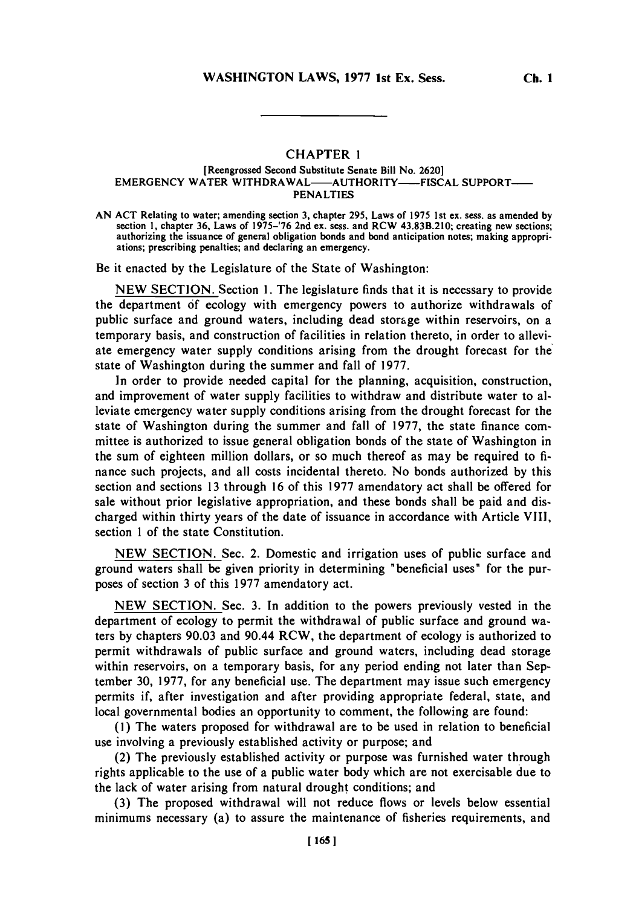## CHAPTER 1

## [Reengrossed Second Substitute Senate Bill No. **2620]** EMERGENCY WATER WITHDRAWAL-AUTHORITY-FISCAL SUPPORT-**PENALTIES**

**AN ACT** Relating to water; amending section **3,** chapter **295,** Laws of **1975** 1st ex. ses, as amended **by** section **1,** chapter **36,** Laws of **1975-'76** 2nd ex. sess. and RCW 43.83B.210; creating new sections; authorizing the issuance of general obligation bonds and bond anticipation notes; making appropriations; prescribing penalties; and declaring an emergency.

Be it enacted **by** the Legislature of the State of Washington:

**NEW SECTION.** Section **1.** The legislature finds that it is necessary to provide the department **of** ecology with emergency powers to authorize withdrawals of public surface and ground waters, including dead storage within reservoirs, on a temporary basis, and construction of facilities in relation thereto, in order to alleviate emergency water supply conditions arising from the drought forecast for the state of Washington during the summer and fall of **1977.**

In order to provide needed capital for the planning, acquisition, construction, and improvement of water supply facilities to withdraw and distribute water to alleviate emergency water supply conditions arising from the drought forecast for the state of Washington during the summer and fall of **1977,** the state finance committee is authorized to issue general obligation bonds of the state of Washington in the sum of eighteen million dollars, or so much thereof as may be required to **fi**nance such projects, and all costs incidental thereto. No bonds authorized **by** this section and sections **13** through **16** of this **1977** amendatory act shall be offered for sale without prior legislative appropriation, and these bonds shall be paid and discharged within thirty years of the date of issuance in accordance with Article VIII, section 1 of the state Constitution.

**NEW SECTION.** Sec. 2. Domestic and irrigation uses of public surface and ground waters shall be given priority in determining "beneficial uses" for the purposes of section **3** of this **1977** amendatory act.

**NEW SECTION.** Sec. **3.** In addition to the powers previously vested in the department of ecology to permit the withdrawal of public surface and ground waters **by** chapters **90.03** and 90.44 RCW, the department of ecology is authorized to permit withdrawals of public surface and ground waters, including dead storage within reservoirs, on a temporary basis, for any period ending not later than September **30, 1977,** for any beneficial use. The department may issue such emergency permits if, after investigation and after providing appropriate federal, state, and local governmental bodies an opportunity to comment, the following are found:

**(1)** The waters proposed for withdrawal are to be used in relation to beneficial use involving a previously established activity or purpose; and

(2) The previously established activity or purpose was furnished water through rights applicable to the use of a public water body which are not exercisable due to the lack of water arising from natural drought conditions; and

**(3)** The proposed withdrawal will not reduce flows or levels below essential minimums necessary (a) to assure the maintenance of fisheries requirements, and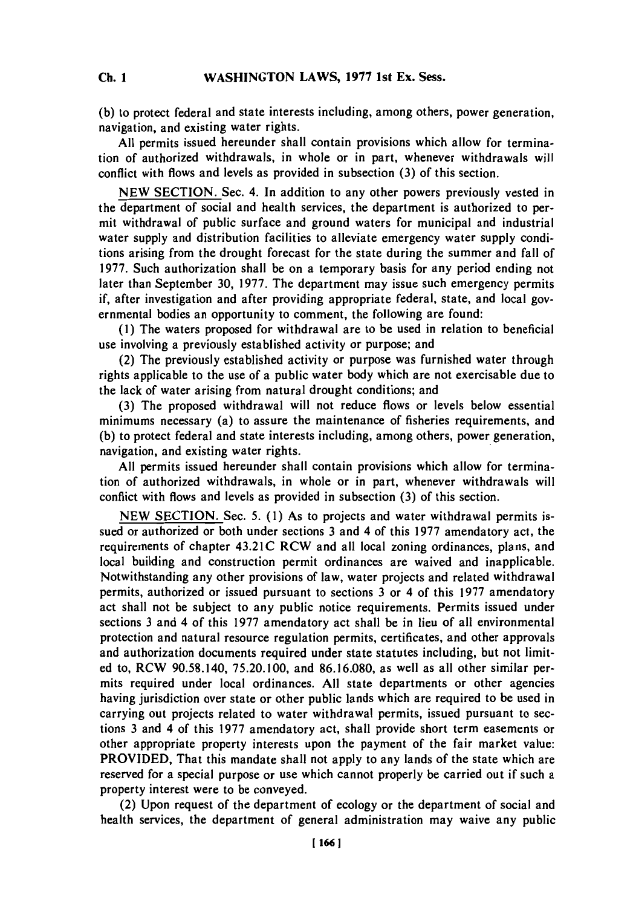**C. IWASHINGTON LAWS, 1977 1st Ex. Sess. Ch. 1**

**(b)** to protect federal and state interests including, among others, power generation, navigation, and existing water rights.

**All** permits issued hereunder shall contain provisions which allow for termination of authorized withdrawals, in whole or in part, whenever withdrawals will conflict with flows and levels as provided in subsection **(3)** of this section.

**NEW SECTION.** Sec. 4. In addition to any other powers previously vested in the department of social and health services, the department is authorized to permit withdrawal of public surface and ground waters for municipal and industrial water supply and distribution facilities to alleviate emergency water supply conditions arising from the drought forecast for the state during the summer and fall of **1977.** Such authorization shall be on a temporary basis for any period ending not later than September **30, 1977.** The department may issue such emergency permits if, after investigation and after providing appropriate federal, state, and local governmental bodies an opportunity to comment, the following are found:

**(1)** The waters proposed for withdrawal are to be used in relation to beneficial use involving a previously established activity or purpose; and

(2) The previously established activity or purpose was furnished water through rights applicable to the use of a public water body which are not exercisable due to the lack of water arising from natural drought conditions; and

**(3)** The proposed withdrawal will not reduce flows or levels below essential minimums necessary (a) to assure the maintenance of fisheries requirements, and **(b)** to protect federal and state interests including, among others, power generation, navigation, and existing water rights.

**All** permits issued hereunder shall contain provisions which allow for termination of authorized withdrawals, in whole or in part, whenever withdrawals will conflict with flows and levels as provided in subsection **(3)** of this section.

**NEW SECTION.** Sec. **5. (1)** As to projects and water withdrawal permits issued or authorized or both under sections **3** and 4 of this **1977** amendatory act, the requirements of chapter 43.21C RCW and all local zoning ordinances, plans, and local building and construction permit ordinances are waived and inapplicable. Notwithstanding any other provisions of law, water projects and related withdrawal permits, authorized or issued pursuant to sections **3** or 4 of this **1977** amendatory act shall not be subject to any public notice requirements. Permits issued under sections **3** and 4 of this **1977** amendatory act shall be in lieu of all environmental protection and natural resource regulation permits, certificates, and other approvals and authorization documents required under state statutes including, but not limited to, RCW **90.58.140, 75.20.100,** and **86.16.080,** as well as all other similar permits required under local ordinances. **All** state departments or other agencies having jurisdiction over state or other public lands which are required to be used in carrying out projects related to water withdrawal permits, issued pursuant to sections **3** and 4 of this **1977** amendatory act, shall provide short term easements or other appropriate property interests upon the payment of the fair market value: PROVIDED, That this mandate shall not apply to any lands of the state which are reserved for a special purpose or use which cannot properly be carried out if such a property interest were to be conveyed.

(2) Upon request of the department of ecology or the department of social and health services, the department of general administration may waive any public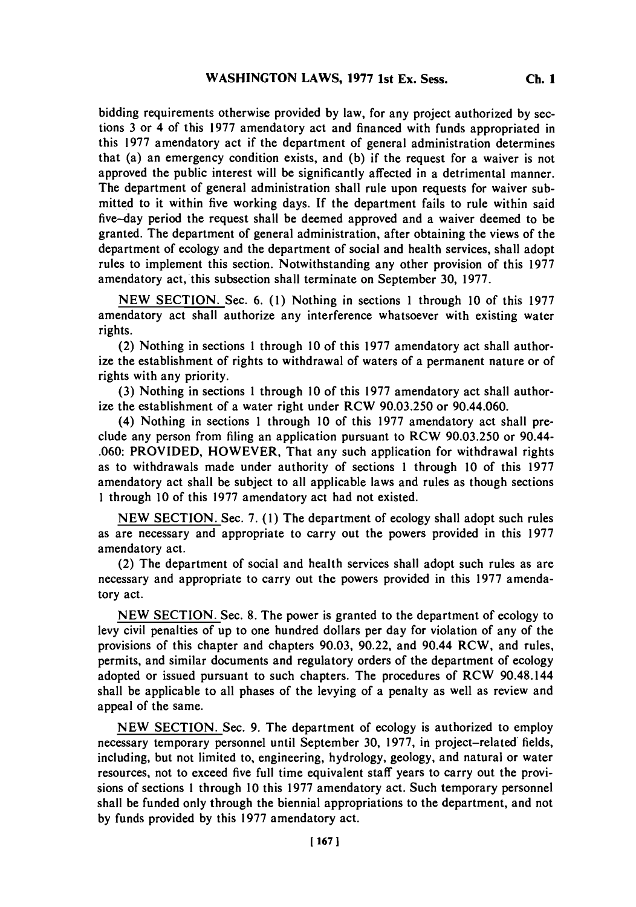**Ch. 1**

bidding requirements otherwise provided **by** law, for any project authorized **by** sections **3** or 4 of this **1977** amendatory act and financed with funds appropriated in this **1977** amendatory act if the department of general administration determines that (a) an emergency condition exists, and **(b)** if the request for a waiver is not approved the public interest will be significantly affected in a detrimental manner. The department of general administration shall rule upon requests for waiver submitted to it within five working days. If the department fails to rule within said five-day period the request shall be deemed approved and a waiver deemed to be granted. The department of general administration, after obtaining the views of the department of ecology and the department of social and health services, shall adopt rules to implement this section. Notwithstanding any other provision of this **1977** amendatory act, this subsection shall terminate on September **30, 1977.**

**NEW SECTION.** Sec. **6. (1)** Nothing in sections 1 through **10** of this **1977** amendatory act shall authorize any interference whatsoever with existing water rights.

(2) Nothing in sections 1 through **10** of this **1977** amendatory act shall authorize the establishment of rights to withdrawal of waters of a permanent nature or of rights with any priority.

**(3)** Nothing in sections 1 through **10** of this **1977** amendatory act shall authorize the establishment of a water right under RCW **90.03.250** or 90.44.060.

(4) Nothing in sections 1 through **10** of this **1977** amendatory act shall preclude any person from filing an application pursuant to RCW **90.03.250** or 90.44- **.060:** PROVIDED, HOWEVER, That any such application for withdrawal rights as to withdrawals made under authority of sections 1 through **10** of this **1977** amendatory act shall be subject to all applicable laws and rules as though sections 1 through **10** of this **1977** amendatory act had not existed.

**NEW SECTION.** Sec. **7. (1)** The department of ecology shall adopt such rules as are necessary and appropriate to carry out the powers provided in this **1977** amendatory act.

(2) The department of social and health services shall adopt such rules as are necessary and appropriate to carry out the powers provided in this **1977** amendatory act.

**NEW SECTION.** Sec. **8.** The power is granted to the department of ecology to levy civil penalties of up to one hundred dollars per day for violation of any of the provisions of this chapter and chapters **90.03, 90.22,** and 90.44 RCW, and rules, permits, and similar documents and regulatory orders of the department of ecology adopted or issued pursuant to such chapters. The procedures of RCW 90.48.144 shall be applicable to all phases of the levying of a penalty as well as review and appeal of the same.

**NEW SECTION.** Sec. **9.** The department of ecology is authorized to employ necessary temporary personnel until September **30, 1977,** in project-related' fields, including, but not limited to, engineering, hydrology, geology, and natural or water resources, not to exceed five full time equivalent staff years to carry out the provisions of sections 1 through **10** this **1977** amendatory act. Such temporary personnel shall be funded only through the biennial appropriations to the department, and not **by** funds provided **by** this **1977** amendatory act.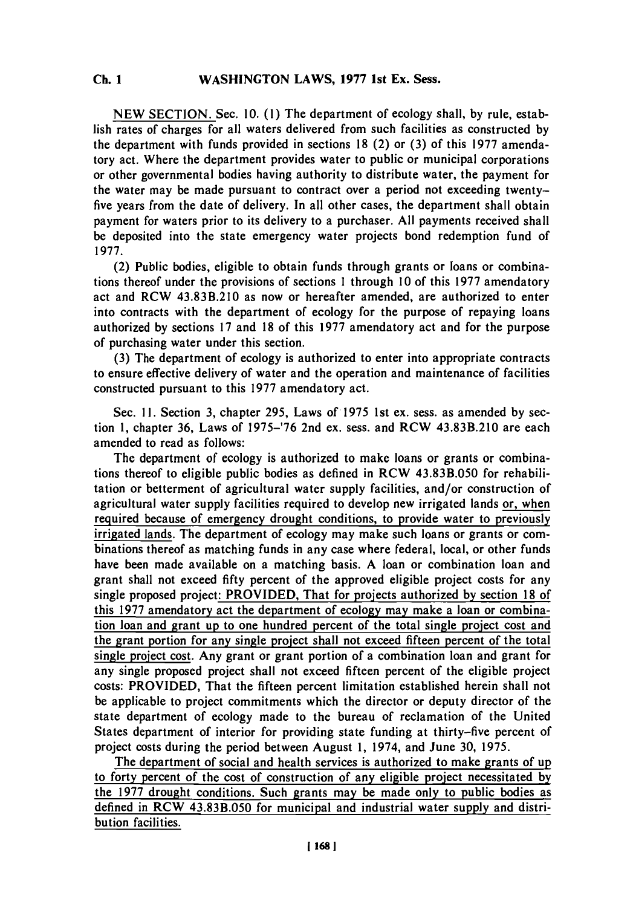**NEW SECTION.** Sec. **10. (1)** The department of ecology shall, **by** rule, establish rates of charges for all waters delivered from such facilities as constructed **by** the department with funds provided in sections **18** (2) or **(3)** of this **1977** amendatory act. Where the department provides water to public or municipal corporations or other governmental bodies having authority to distribute water, the payment for the water may **be** made pursuant to contract over a period not exceeding twentyfive years from the date of delivery. In all other cases, the department shall obtain payment for waters prior to its delivery to a purchaser. **All** payments received shall be deposited into the state emergency water projects bond redemption fund of **1977.**

(2) Public bodies, eligible to obtain funds through grants or loans or combinations thereof under the provisions of sections 1 through **10** of this **1977** amendatory act and RCW 43.83B.210 as now or hereafter amended, are authorized to enter into contracts with the department of ecology for the purpose of repaying loans authorized **by** sections **17** and **18** of this **1977** amendatory act and for the purpose of purchasing water under this section.

**(3)** The department of ecology is authorized to enter into appropriate contracts to ensure effective delivery of water and the operation and maintenance of facilities constructed pursuant to this **1977** amendatory act.

Sec. **11.** Section **3,** chapter **295,** Laws of **1975** 1st ex. sess. as amended **by** section **1,** chapter **36,** Laws of **1975-'76** 2nd ex. sess. and RCW 43.83B.210 are each amended to read as follows:

The department of ecology is authorized to make loans or grants or combinations thereof to eligible public bodies as defined in RCW 43.83B.050 for rehabilitation or betterment of agricultural water supply facilities, and/or construction of agricultural water supply facilities required to develop new irrigated lands or, when required because of emergency drought conditions, to provide water to previously irrigated lands. The department of ecology may make such loans or grants or combinations thereof as matching funds in any case where federal, local, or other funds have been made available on a matching basis. **A** loan or combination loan and grant shall not exceed **fifty** percent of the approved eligible project costs for any single proposed project: PROVIDED, That for projects authorized **by** section **18** of this **1977** amendatory act the department of ecology may make a loan or combination loan and grant up to one hundred percent of the total single project cost and the grant portion for any single project shall not exceed fifteen percent of the total single project cost. Any grant or grant portion of a combination loan and grant for any single proposed project shall not exceed fifteen percent of the eligible project costs: PROVIDED, That the fifteen percent limitation established herein shall not be applicable to project commitments which the director or deputy director of the state department of ecology made to the bureau of reclamation of the United States department of interior for providing state funding at thirty-five percent of project costs during the period between August **1,** 1974, and June **30, 1975.**

The department of social and health services is authorized to make grants of up to forty percent of the cost of construction of any eligible project necessitated **by** the **1977** drought conditions. Such grants may be made only to public bodies as defined in RCW 43.83B.050 for municipal and industrial water supply and distribution facilities.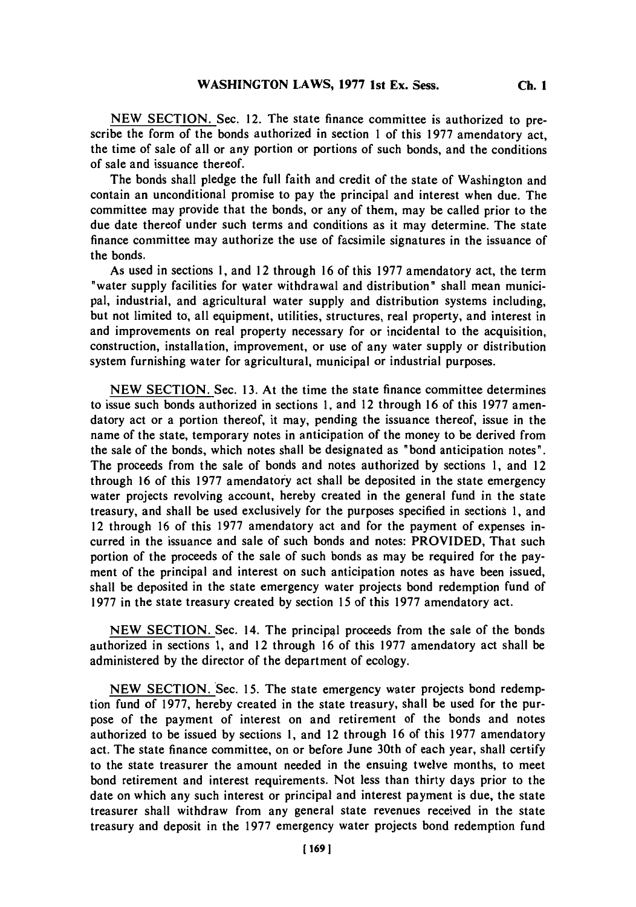**NEW SECTION.** Sec. 12. The state finance committee is authorized to prescribe the form of the bonds authorized in section 1 of this **1977** amendatory act, the time of sale of all or any portion or portions of such bonds, and the conditions of sale and issuance thereof.

The bonds shall pledge the full faith and credit of the state of Washington and contain an unconditional promise to pay the principal and interest when due. The committee may provide that the bonds, or any of them, may be called prior to the due date thereof under such terms and conditions as it may determine. The state finance committee may authorize the use of facsimile signatures in the issuance of the bonds.

As used in sections **1,** and 12 through **16** of this **1977** amendatory act, the term "water supply facilities for water withdrawal and distribution" shall mean municipal, industrial, and agricultural water supply and distribution systems including, but not limited to, all equipment, utilities, structures, real property, and interest in and improvements on real property necessary for or incidental to the acquisition, construction, installation, improvement, or use of any water supply or distribution system furnishing water for agricultural, municipal or industrial purposes.

**NEW SECTION.** Sec. **13.** At the time the state finance committee determines to issue such bonds authorized in sections **1,** and 12 through **16** of this **1977** amendatory act or a portion thereof, it may, pending the issuance thereof, issue in the name of the state, temporary notes in anticipation of the money to be derived from the sale of the bonds, which notes shall be designated as "bond anticipation notes". The proceeds from the sale of bonds and notes authorized **by** sections **1,** and 12 through **16** of this **1977** amendatory act shall be deposited in the state emergency water projects revolving account, hereby created in the general fund in the state treasury, and shall be used exclusively for the purposes specified in sections **1,** and 12 through **16** of this **1977** amendatory act and for the payment of expenses incurred in the issuance and sale of such bonds and notes: PROVIDED, That such portion of the proceeds of the sale of such bonds as may be required for the payment of the principal and interest on such anticipation notes as have been issued, shall be deposited in the state emergency water projects bond redemption fund of **1977** in the state treasury created **by** section **15** of this **1977** amendatory act.

**NEW SECTION.** Sec. 14. The principal proceeds from the sale of the bonds authorized in sections **1,** and 12 through **16** of this **1977** amendatory act shall be administered **by** the director of the department of ecology.

**NEW SECTION.** Sec. *15.* The state emergency water projects bond redemption fund of **1977,** hereby created in the state treasury, shall be used for the purpose of the payment of interest on and retirement of the bonds and notes authorized to be issued **by** sections **1,** and 12 through **16** of this **1977** amendatory act. The state finance committee, on or before June 30th of each year, shall certify to the state treasurer the amount needed in the ensuing twelve months, to meet bond retirement and interest requirements. Not less than thirty days prior to the date on which any such interest or principal and interest payment is due, the state treasurer shall withdraw from any general state revenues received in the state treasury and deposit in the **1977** emergency water projects bond redemption fund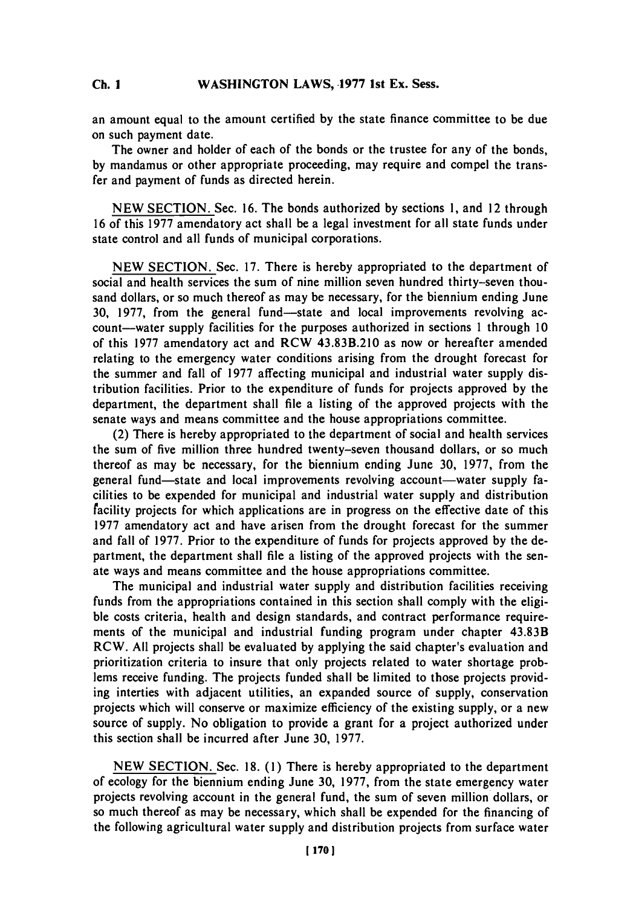## **C. IWASHINGTON LAWS, .1977 1st Ex. Sess. Ch. 1**

an amount equal to the amount certified **by** the state finance committee to be due on such payment date.

The owner and holder of each of the bonds or the trustee for any of the bonds, **by** mandamus or other appropriate proceeding, may require and compel the transfer and payment of funds as directed herein.

**NEW SECTION.** Sec. **16.** The bonds authorized **by** sections **1,** and 12 through **16** of this **1977** amendatory act shall be a legal investment for all state funds under state control and all funds of municipal corporations.

**NEW SECTION.** Sec. **17.** There is hereby appropriated to the department of social and health services the sum of nine million seven hundred thirty-seven thousand dollars, or so much thereof as may be necessary, for the biennium ending June **30, 1977, from the general fund—state and local improvements revolving ac**count-water supply facilities for the purposes authorized in sections 1 through **10** of this **1977** amendatory act and **RCW 43.8313.210** as now or hereafter amended relating to the emergency water conditions arising from the drought forecast for the summer and fall of **1977** affecting municipal and industrial water supply distribution facilities. Prior to the expenditure of funds for projects approved **by** the department, the department shall **file** a listing of the approved projects with the senate ways and means committee and the house appropriations committee.

(2) There is hereby appropriated to the department of social and health services the sum of five million three hundred twenty-seven thousand dollars, or so much thereof as may be necessary, for the biennium ending June **30, 1977,** from the general fund—state and local improvements revolving account—water supply facilities to be expended for municipal and industrial water supply and distribution facility projects for which applications are in progress on the effective date of this **1977** amendatory act and have arisen from the drought forecast for the summer and fall of **1977.** Prior to the expenditure of funds for projects approved **by** the department, the department shall file a listing of the approved projects with the senate ways and means committee and the house appropriations committee.

The municipal and industrial water supply and distribution facilities receiving funds from the appropriations contained in this section shall comply with the eligible costs criteria, health and design standards, and contract performance requirements of the municipal and industrial funding program under chapter 43.83B RCW. **All** projects shall be evaluated **by** applying the said chapter's evaluation and prioritization criteria to insure that only projects related to water shortage problems receive funding. The projects funded shall be limited to those projects providing interties with adjacent utilities, an expanded source of supply, conservation projects which will conserve or maximize efficiency of the existing supply, or a new source of supply. No obligation to provide a grant for a project authorized under this section shall be incurred after June **30, 1977.**

**NEW SECTION.** Sec. **18. (1)** There is hereby appropriated to the department of ecology for the biennium ending June **30, 1977,** from the state emergency water projects revolving account in the general fund, the sum of seven million dollars, or so much thereof as may be necessary, which shall be expended for the financing of the following agricultural water supply and distribution projects from surface water